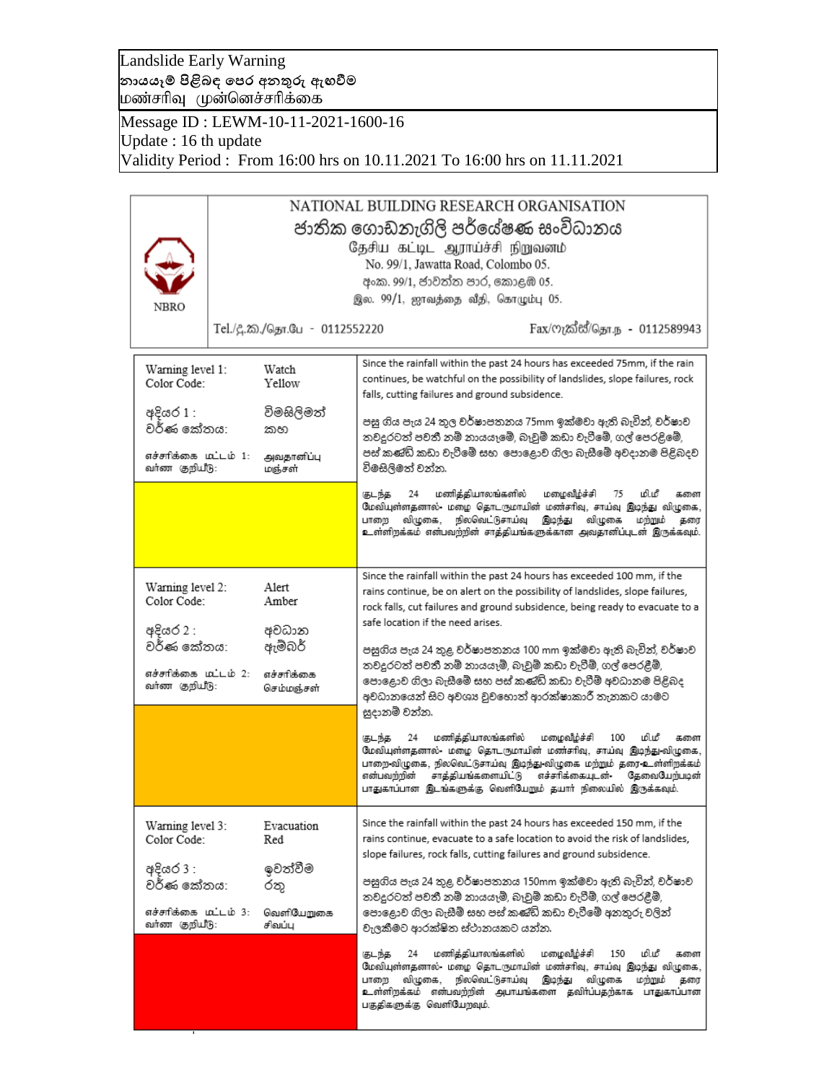Landslide Early Warning **නායයෑම් පිළිබඳ පෙර අනතුරු ඇඟවීම** |மண்சரிவு முன்னெச்சரிக்கை

Message ID : LEWM-10-11-2021-1600-16 Update : 16 th update Validity Period : From 16:00 hrs on 10.11.2021 To 16:00 hrs on 11.11.2021

| NATIONAL BUILDING RESEARCH ORGANISATION |                                                                     |                                                                                                                                                          |  |  |
|-----------------------------------------|---------------------------------------------------------------------|----------------------------------------------------------------------------------------------------------------------------------------------------------|--|--|
|                                         | ජාතික ගොඩනැගිලි පර්යේෂණ සංවිධානය<br>தேசிய கட்டிட ஆராய்ச்சி நிறுவனம் |                                                                                                                                                          |  |  |
|                                         |                                                                     | No. 99/1, Jawatta Road, Colombo 05.                                                                                                                      |  |  |
|                                         |                                                                     | අංක. 99/1, ජාවත්ත පාර, කොළඹ 05.                                                                                                                          |  |  |
| NBRO                                    |                                                                     | இல. 99/1, ஜாவத்தை வீதி, கொழும்பு 05.                                                                                                                     |  |  |
|                                         | Tel./දී.ක./தொ.பே - 0112552220                                       | Fax/ෆැක්ස්/தொ.ந - 0112589943                                                                                                                             |  |  |
| Warning level 1:                        | Watch                                                               | Since the rainfall within the past 24 hours has exceeded 75mm, if the rain                                                                               |  |  |
| Color Code:                             | Yellow                                                              | continues, be watchful on the possibility of landslides, slope failures, rock<br>falls, cutting failures and ground subsidence.                          |  |  |
| අදියර 1 :<br>වර්ණ කේතය:                 | විමසිලිමත්<br>කහ                                                    | පසු ගිය පැය 24 තුල වර්ෂාපතනය 75mm ඉක්මවා ඇති බැවින්, වර්ෂාව                                                                                              |  |  |
|                                         |                                                                     | තවදුරටත් පවතී නම් නායයෑමේ, බෑවුම් කඩා වැටීමේ, ගල් පෙරළිමේ,<br>පස් කණ්ඩි කඩා වැටීමේ සහ පොළොව ගිලා බැසීමේ අවදානම පිළිබදව                                   |  |  |
| எச்சாிக்கை மொட்ம் 1:<br>வா்ண குறியீடு:  | அவதானிப்பு<br>மஞ்சள்                                                | විමසිලිමත් වන්න.                                                                                                                                         |  |  |
|                                         |                                                                     | மணித்தியாலங்களில்<br>மழைவீழ்ச்சி<br>மி.மீ<br>24<br>கடந்த<br>75<br>களை                                                                                    |  |  |
|                                         |                                                                     | மேவியுள்ளதனால்- மழை தொடருமாயின் மண்சரிவு, சாய்வு இடிந்து விழுகை,<br>விழுகை,<br>நிலவெட்டுசாய்வு<br>இடிந்து<br>விழுகை<br>மந்நும்<br>பாறை<br>தரை            |  |  |
|                                         |                                                                     | உள்ளிறக்கம் என்பவற்றின் சாத்தியங்களுக்கான அவதானிப்புடன் இருக்கவும்.                                                                                      |  |  |
|                                         |                                                                     |                                                                                                                                                          |  |  |
| Warning level 2:                        | Alert                                                               | Since the rainfall within the past 24 hours has exceeded 100 mm, if the<br>rains continue, be on alert on the possibility of landslides, slope failures, |  |  |
| Color Code:                             | Amber                                                               | rock falls, cut failures and ground subsidence, being ready to evacuate to a                                                                             |  |  |
| අදියර 2 :                               | අවධාන                                                               | safe location if the need arises.                                                                                                                        |  |  |
| වර්ණ කේතය:                              | ඇම්බර්                                                              | පසුගිය පැය 24 තුළ වර්ෂාපතනය 100 mm ඉක්මවා ඇති බැවින්, වර්ෂාව                                                                                             |  |  |
| எச்சாிக்கை மட்டம் 2:                    | எச்சரிக்கை                                                          | තවදුරටත් පවතී නම් නායයෑම්, බෑවුම් කඩා වැටීම්, ගල් පෙරළීම්,                                                                                               |  |  |
| வா்ண குறியீடு:                          | செம்மஞ்சள்                                                          | පොළොව ගිලා බැසීමේ සහ පස් කණ්ඩි කඩා වැටීම් අවධානම පිළිබද<br>අවධානයෙන් සිට අවශා වූවහොත් ආරක්ෂාකාරී තැනකට යාමට                                              |  |  |
|                                         |                                                                     | සුදානම් වන්න.                                                                                                                                            |  |  |
|                                         |                                                                     | மணித்தியாலங்களில்<br>மழைவீழ்ச்சி<br>100<br>மிமீ<br>குடந்த<br>24<br>களை                                                                                   |  |  |
|                                         |                                                                     | மேவியுள்ளதனால்- மழை தொடருமாயின் மண்சரிவு, சாய்வு இடிந்து-விழுகை,<br>பாறை-விழுகை, நிலவெட்டுசாய்வு இடிந்து-விழுகை மற்றும் தரை-உள்ளிறக்கம்.                 |  |  |
|                                         |                                                                     | சாத்தியங்களையிட்டு<br>எச்சரிக்கையுடன்<br>என்பவந்நின்<br>தேவையேற்படின்<br>பாதுகாப்பான இடங்களுக்கு வெளியேறும் தயார் நிலையில் இருக்கவும்.                   |  |  |
|                                         |                                                                     |                                                                                                                                                          |  |  |
| Warning level 3:                        | Evacuation                                                          | Since the rainfall within the past 24 hours has exceeded 150 mm, if the                                                                                  |  |  |
| Color Code:                             | Red                                                                 | rains continue, evacuate to a safe location to avoid the risk of landslides,<br>slope failures, rock falls, cutting failures and ground subsidence.      |  |  |
| අදියර 3 :                               | ඉවත්වීම                                                             |                                                                                                                                                          |  |  |
| වර්ණ කේතය:                              | රතු                                                                 | පසුගිය පැය 24 තුළ වර්ෂාපතනය 150mm ඉක්මවා ඇති බැවින්, වර්ෂාව<br>තවදුරටත් පවතී නම් නායයෑම්, බෑවුම් කඩා වැටීම්, ගල් පෙරළීම්,                                |  |  |
| எச்சாிக்கை மூட்டம் 3:                   | வெளியேறுகை                                                          | පොළොව ගිලා බැසීම් සහ පස් කණිඩි කඩා වැටීමේ අනතුරු වලින්                                                                                                   |  |  |
| வா்ண குறியீடு:                          | சிவப்ப                                                              | වැලකීමට ආරක්ෂිත ස්ථානයකට යන්න.                                                                                                                           |  |  |
|                                         |                                                                     | மணித்தியாலங்களில்<br>மழைவீழ்ச்சி<br>மிமீ<br>குடந்த<br>24<br>150<br>களை                                                                                   |  |  |
|                                         |                                                                     | மேவியுள்ளதனால்- மழை தொடருமாயின் மணச்ரிவு, சாய்வு இடிந்து விழுகை,<br>விழுகை,<br>நிலவெட்டுசாய்வு இடிந்து<br>விழுகை<br>மற்றும்<br>பாறை<br>தரை               |  |  |
|                                         |                                                                     | உள்ளிறக்கம் என்பவற்றின் அபாயங்களை தவிர்ப்பதற்காக பாதுகாப்பான                                                                                             |  |  |
|                                         |                                                                     |                                                                                                                                                          |  |  |
|                                         |                                                                     | பகுதிகளுக்கு வெளியேறவும்.                                                                                                                                |  |  |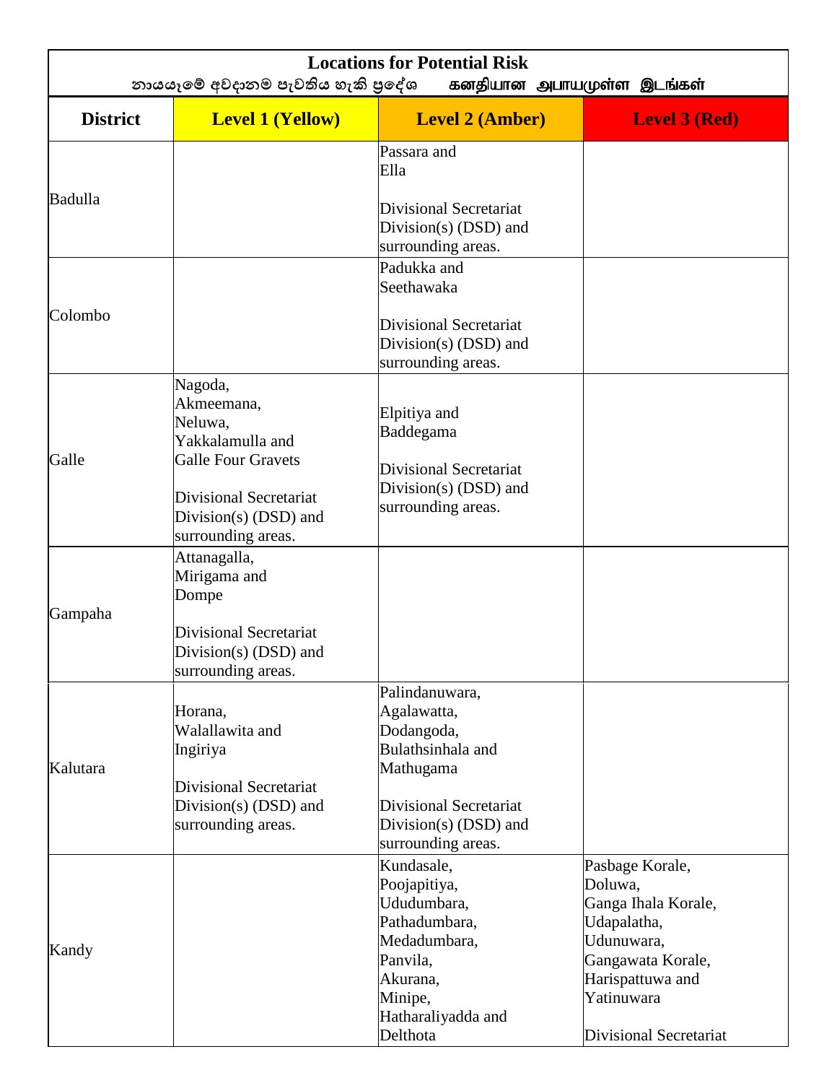| <b>Locations for Potential Risk</b><br>නායයෑමේ අවදානම පැවතිය හැකි පුදේශ<br>கனதியான அபாயமுள்ள இடங்கள் |                                                                                                             |                                                                                                               |                                                                                                                                       |  |  |
|------------------------------------------------------------------------------------------------------|-------------------------------------------------------------------------------------------------------------|---------------------------------------------------------------------------------------------------------------|---------------------------------------------------------------------------------------------------------------------------------------|--|--|
| <b>District</b>                                                                                      | <b>Level 1 (Yellow)</b>                                                                                     | <b>Level 2 (Amber)</b>                                                                                        | <b>Level 3 (Red)</b>                                                                                                                  |  |  |
|                                                                                                      |                                                                                                             | Passara and<br>Ella                                                                                           |                                                                                                                                       |  |  |
| Badulla                                                                                              |                                                                                                             | Divisional Secretariat<br>Division(s) $(DSD)$ and<br>surrounding areas.                                       |                                                                                                                                       |  |  |
| Colombo                                                                                              |                                                                                                             | Padukka and<br>Seethawaka                                                                                     |                                                                                                                                       |  |  |
|                                                                                                      |                                                                                                             | Divisional Secretariat<br>Division(s) (DSD) and<br>surrounding areas.                                         |                                                                                                                                       |  |  |
|                                                                                                      | Nagoda,<br>Akmeemana,<br>Neluwa,<br>Yakkalamulla and                                                        | Elpitiya and<br>Baddegama                                                                                     |                                                                                                                                       |  |  |
| Galle                                                                                                | <b>Galle Four Gravets</b><br><b>Divisional Secretariat</b><br>Division(s) $(DSD)$ and<br>surrounding areas. | Divisional Secretariat<br>Division(s) $(DSD)$ and<br>surrounding areas.                                       |                                                                                                                                       |  |  |
| Gampaha                                                                                              | Attanagalla,<br>Mirigama and<br>Dompe<br>Divisional Secretariat                                             |                                                                                                               |                                                                                                                                       |  |  |
|                                                                                                      | Division(s) (DSD) and<br>surrounding areas.                                                                 |                                                                                                               |                                                                                                                                       |  |  |
| Kalutara                                                                                             | Horana,<br>Walallawita and<br>Ingiriya                                                                      | Palindanuwara,<br>Agalawatta,<br>Dodangoda,<br>Bulathsinhala and<br>Mathugama                                 |                                                                                                                                       |  |  |
|                                                                                                      | Divisional Secretariat<br>Division(s) (DSD) and<br>surrounding areas.                                       | Divisional Secretariat<br>Division(s) $(DSD)$ and<br>surrounding areas.                                       |                                                                                                                                       |  |  |
| Kandy                                                                                                |                                                                                                             | Kundasale,<br>Poojapitiya,<br>Ududumbara,<br>Pathadumbara,<br>Medadumbara,<br>Panvila,<br>Akurana,<br>Minipe, | Pasbage Korale,<br>Doluwa,<br>Ganga Ihala Korale,<br>Udapalatha,<br>Udunuwara,<br>Gangawata Korale,<br>Harispattuwa and<br>Yatinuwara |  |  |
|                                                                                                      |                                                                                                             | Hatharaliyadda and<br>Delthota                                                                                | Divisional Secretariat                                                                                                                |  |  |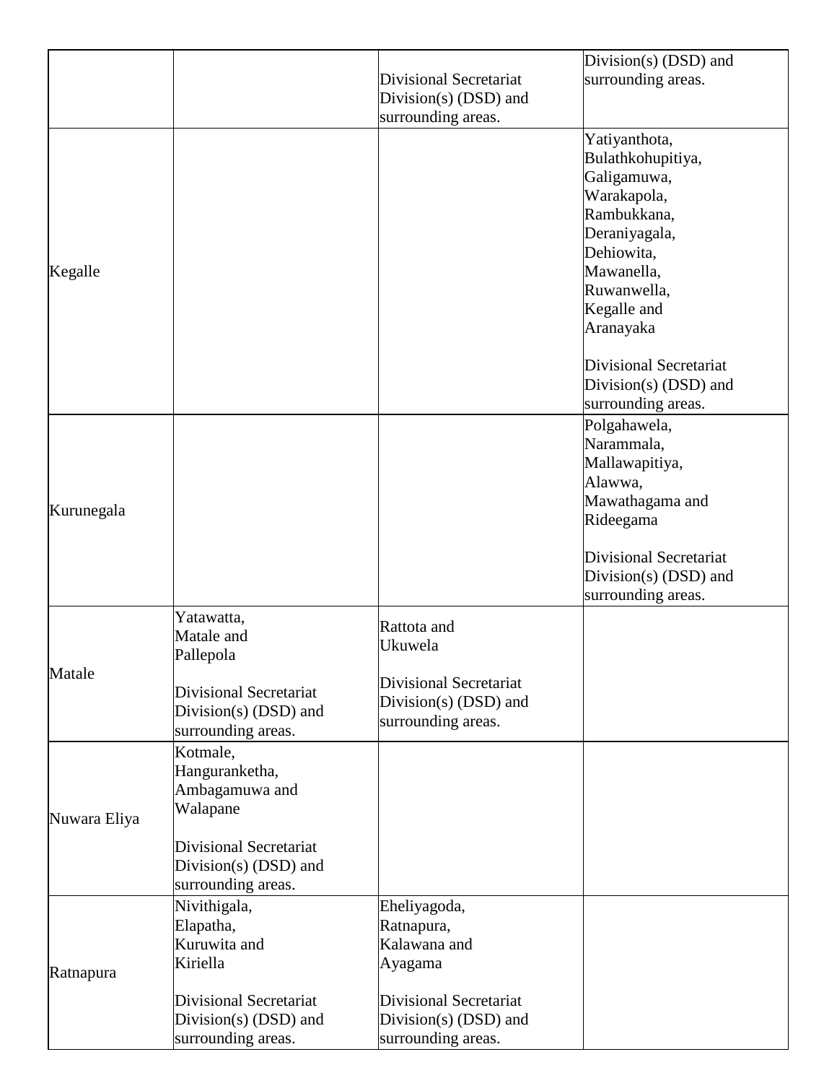|              |                               |                               | Division(s) $(DSD)$ and       |
|--------------|-------------------------------|-------------------------------|-------------------------------|
|              |                               | <b>Divisional Secretariat</b> | surrounding areas.            |
|              |                               | Division(s) (DSD) and         |                               |
|              |                               | surrounding areas.            |                               |
|              |                               |                               | Yatiyanthota,                 |
|              |                               |                               | Bulathkohupitiya,             |
|              |                               |                               | Galigamuwa,                   |
|              |                               |                               | Warakapola,                   |
|              |                               |                               | Rambukkana,                   |
|              |                               |                               | Deraniyagala,                 |
|              |                               |                               | Dehiowita,                    |
| Kegalle      |                               |                               | Mawanella,                    |
|              |                               |                               | Ruwanwella,                   |
|              |                               |                               | Kegalle and                   |
|              |                               |                               | Aranayaka                     |
|              |                               |                               | <b>Divisional Secretariat</b> |
|              |                               |                               | Division(s) (DSD) and         |
|              |                               |                               | surrounding areas.            |
|              |                               |                               | Polgahawela,                  |
|              |                               |                               | Narammala,                    |
|              |                               |                               | Mallawapitiya,                |
|              |                               |                               | Alawwa,                       |
| Kurunegala   |                               |                               | Mawathagama and               |
|              |                               |                               | Rideegama                     |
|              |                               |                               | <b>Divisional Secretariat</b> |
|              |                               |                               | Division(s) (DSD) and         |
|              |                               |                               | surrounding areas.            |
|              | Yatawatta,                    | Rattota and                   |                               |
|              | Matale and                    | Ukuwela                       |                               |
|              | Pallepola                     |                               |                               |
| Matale       |                               | Divisional Secretariat        |                               |
|              | <b>Divisional Secretariat</b> | Division(s) $(DSD)$ and       |                               |
|              | Division(s) $(DSD)$ and       | surrounding areas.            |                               |
|              | surrounding areas.            |                               |                               |
|              | Kotmale,                      |                               |                               |
|              | Hanguranketha,                |                               |                               |
|              | Ambagamuwa and                |                               |                               |
| Nuwara Eliya | Walapane                      |                               |                               |
|              | <b>Divisional Secretariat</b> |                               |                               |
|              | Division(s) (DSD) and         |                               |                               |
|              | surrounding areas.            |                               |                               |
|              | Nivithigala,                  | Eheliyagoda,                  |                               |
|              | Elapatha,                     | Ratnapura,                    |                               |
|              | Kuruwita and                  | Kalawana and                  |                               |
|              | Kiriella                      | Ayagama                       |                               |
| Ratnapura    |                               |                               |                               |
|              | <b>Divisional Secretariat</b> | Divisional Secretariat        |                               |
|              | Division(s) $(DSD)$ and       | Division(s) $(DSD)$ and       |                               |
|              | surrounding areas.            | surrounding areas.            |                               |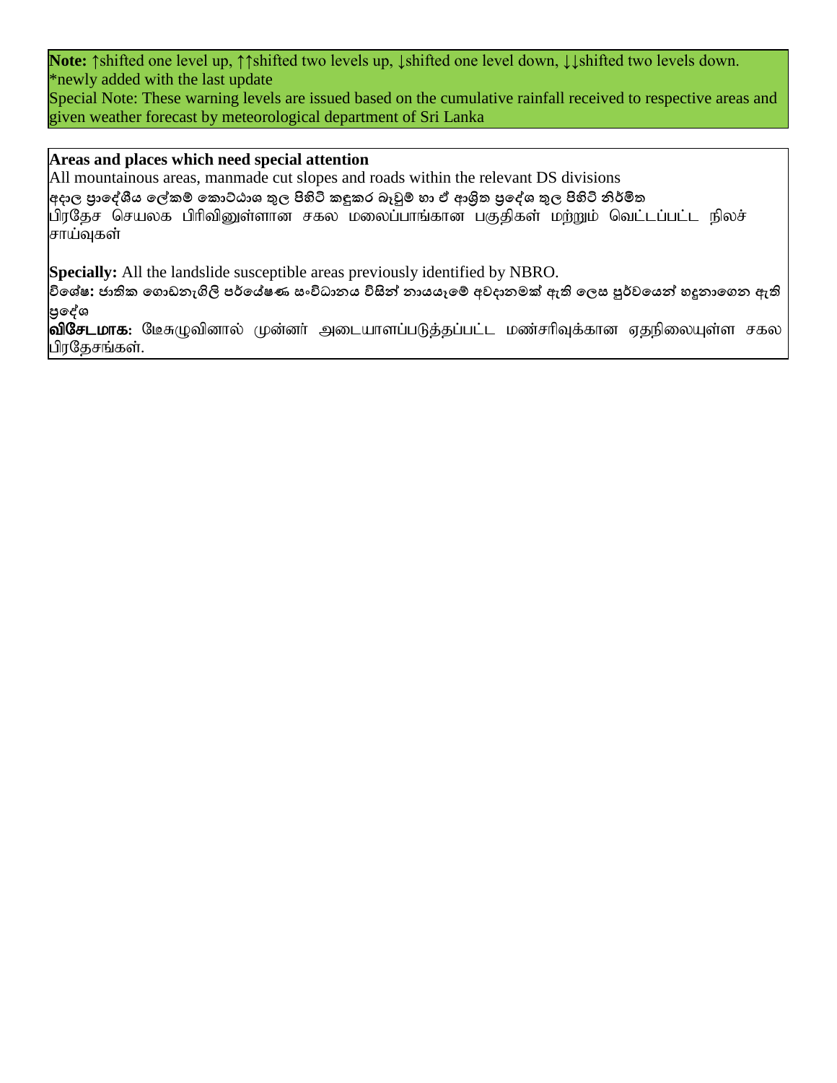**Note:** ↑shifted one level up, ↑↑shifted two levels up, ↓shifted one level down, ↓↓shifted two levels down. \*newly added with the last update

Special Note: These warning levels are issued based on the cumulative rainfall received to respective areas and given weather forecast by meteorological department of Sri Lanka

## **Areas and places which need special attention**

All mountainous areas, manmade cut slopes and roads within the relevant DS divisions

අදාල පුාලේශීය ලේකම් කොට්ඨාශ තුල පිහිටි කඳුකර බෑවුම් හා ඒ ආශිත පු**දේශ තුල පිහිටි නිර්මිත** 

பிரதேச செயலக பிரிவினுள்ளான சகல மலைப்பாங்கான பகுதிகள் மற்றும் வெட்டப்பட்ட நிலச் சாய்வுகள்

**Specially:** All the landslide susceptible areas previously identified by NBRO.

**විපශේෂ: ජාති් ප ්ඩනැගිලි ෙර්පේෂණ සංවිධානය විසින් නායයෑපම් අවදානමක් ඇති පලස පුර්වපයන් හදුනාප න ඇති ප්රපේශ**

<mark>விசேடமாக</mark>: மேசுழுவினால் முன்னர் அடையாளப்படுத்தப்பட்ட மண்சரிவுக்கான ஏதநிலையுள்ள சகல பிரதேசங்கள்.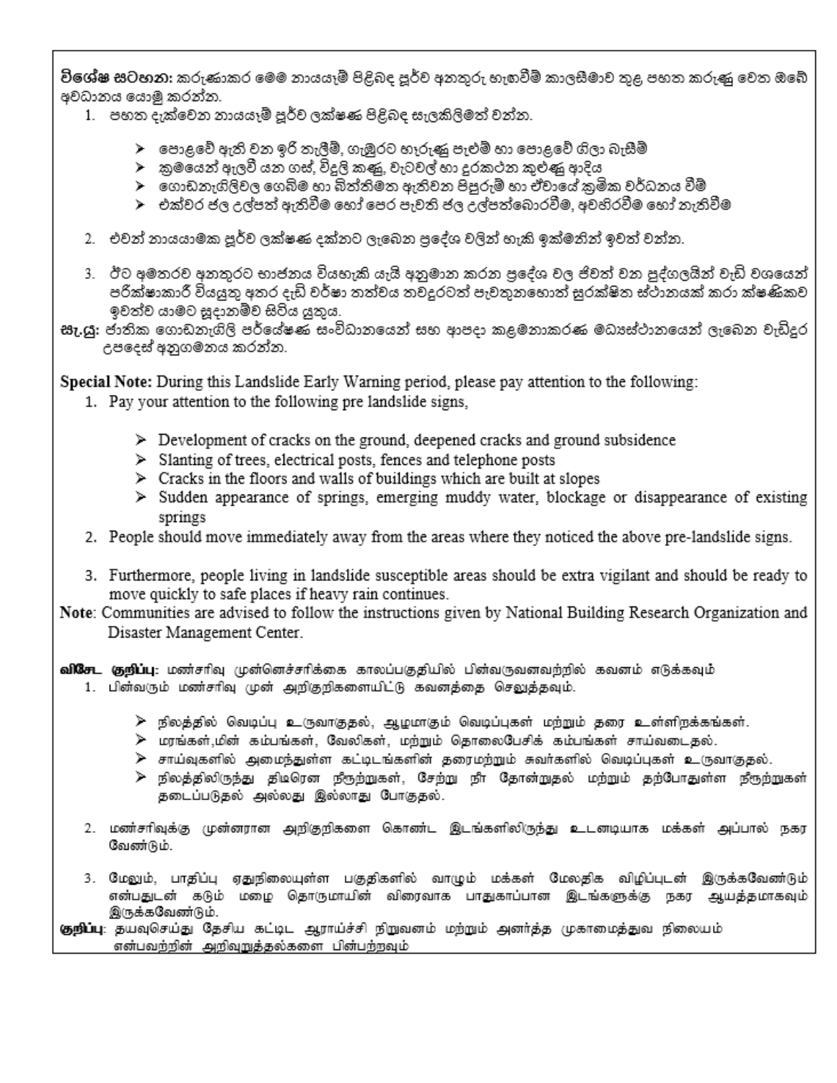**විශේෂ සටහන:** කරුණාකර මෙම නායයෑම් පිළිබද පූර්ව අනතුරු හැඟවීම් කාලසීමාව තුළ පහත කරුණු වෙත ඔබේ අවධානය යොමු කරන්න.

- 1. පහත දැක්වෙන නායයෑම් පූර්ව ලක්ෂණ පිළිබද සැලකිලිමත් වන්න.
	- ≻ පොළවේ ඇති වන ඉරි තැලීම්, ගැඹුරට හෑරුණු පැළුම් හා පොළවේ ගිලා බැසීම්
	- ≻ු කුමයෙන් ඇලවී යන ගස්, විදුලි කළෝ, වැටවල් හා දුරකථන කුළුණු ආදිය
	- ≻ ගොඩනැගිලිවල ගෙබිම හා බිත්තිමත ඇතිවන පිපුරුම් හා ඒවායේ කුමික වර්ධනය වීම්
	- ≻ එක්වර ජල උල්පත් ඇතිවීම හෝ පෙර පැවති ජල උල්පත්බොරවීම, අවහිරවීම හෝ තැතිවීම
- 2. එවන් නායයාමක පූර්ව ලක්ෂණ දක්නට ලැබෙන පුදේශ වලින් හැකි ඉක්මනින් ඉවත් වන්න.
- 3. ඊට අමතරව අනතුරට භාජනය වියහැකි යැයි අනුමාන කරන පුදේශ වල ජිවත් වන පුද්ගලයින් වැඩි වශයෙන් පරික්ෂාකාරී වියයුතු අතර දැඩි වර්ෂා තත්වය තවදුරටත් පැවතුනහොත් සුරක්ෂිත ස්ථානයක් කරා ක්ෂණිකව ඉවත්ව යාමට සූදානම්ව සිටිය යුතුය.
- **සැ.යු:** ජාතික ගොඩනැගිලි පර්යේෂණ සංවිධානයෙන් සහ ආපදා කළමනාකරණ මධාප්ථානයෙන් ලැබෙන වැඩිදුර උපදෙස් අනුගමනය කරන්න.

Special Note: During this Landslide Early Warning period, please pay attention to the following:

- 1. Pay your attention to the following pre landslide signs,
	- $\triangleright$  Development of cracks on the ground, deepened cracks and ground subsidence
	- > Slanting of trees, electrical posts, fences and telephone posts
	- $\triangleright$  Cracks in the floors and walls of buildings which are built at slopes
	- > Sudden appearance of springs, emerging muddy water, blockage or disappearance of existing springs
- 2. People should move immediately away from the areas where they noticed the above pre-landslide signs.
- 3. Furthermore, people living in landslide susceptible areas should be extra vigilant and should be ready to move quickly to safe places if heavy rain continues.
- Note: Communities are advised to follow the instructions given by National Building Research Organization and Disaster Management Center.

வி**சேட குறிப்பு**: மண்சரிவு முன்னெச்சரிக்கை காலப்பகுதியில் பின்வருவனவற்றில் கவனம் எடுக்கவும் 1. பின்வரும் மண்சரிவு முன் அறிதறிகளையிட்டு கவனத்தை செலுத்தவும்.

- ≻ நிலத்தில் வெடிப்பு உருவாகுதல், ஆழமாகும் வெடிப்புகள் மற்றும் தரை உள்ளிறக்கங்கள்.
- $\blacktriangleright$  மரங்கள்,மின் கம்பங்கள், வேலிகள், மற்றும் தொலைபேசிக் கம்பங்கள் சாய்வடைதல்.
- <mark>≻ சாய்வுகளில் அமைந்துள்ள கட்டிடங்களின் தரைமற்றும் சுவர்களில் வெடிப்புகள் உருவாகுதல்.</mark>
- <mark>≫ நிலத்திலிருந்து திடிரென நீரூற்றுகள், சேற்று நீா தோன்றுதல் மற்றும் தற்போதுள்ள நீரூற்றுகள்</mark> தடைப்படுதல் அல்லது இல்லாது போகுதல்.
- 2. மண்சரிவுக்கு முன்னரான அறிகுறிகளை கொண்ட இடங்களிலிருந்து உடனடியாக மக்கள் அப்பால் நகர வேண்டும்.
- 3. மேலும், பாதிப்பு ஏதுநிலையுள்ள பகுதிகளில் வாழும் மக்கள் மேலதிக விழிப்புடன் இருக்கவேண்டும் என்பதுடன் கடும் மழை தொருமாயின் விரைவாக பாதுகாப்பான இடங்களுக்கு நகர ஆயத்தமாகவும் இருக்கவேண்டும்.

**குறிப்பு**: தயவுசெய்து தேசிய கட்டிட ஆராய்ச்சி நிறுவனம் மற்றும் அனர்த்த முகாமைத்துவ நிலையம். என்பவற்றின் அறிவுறுத்தல்களை பின்பற்றவும்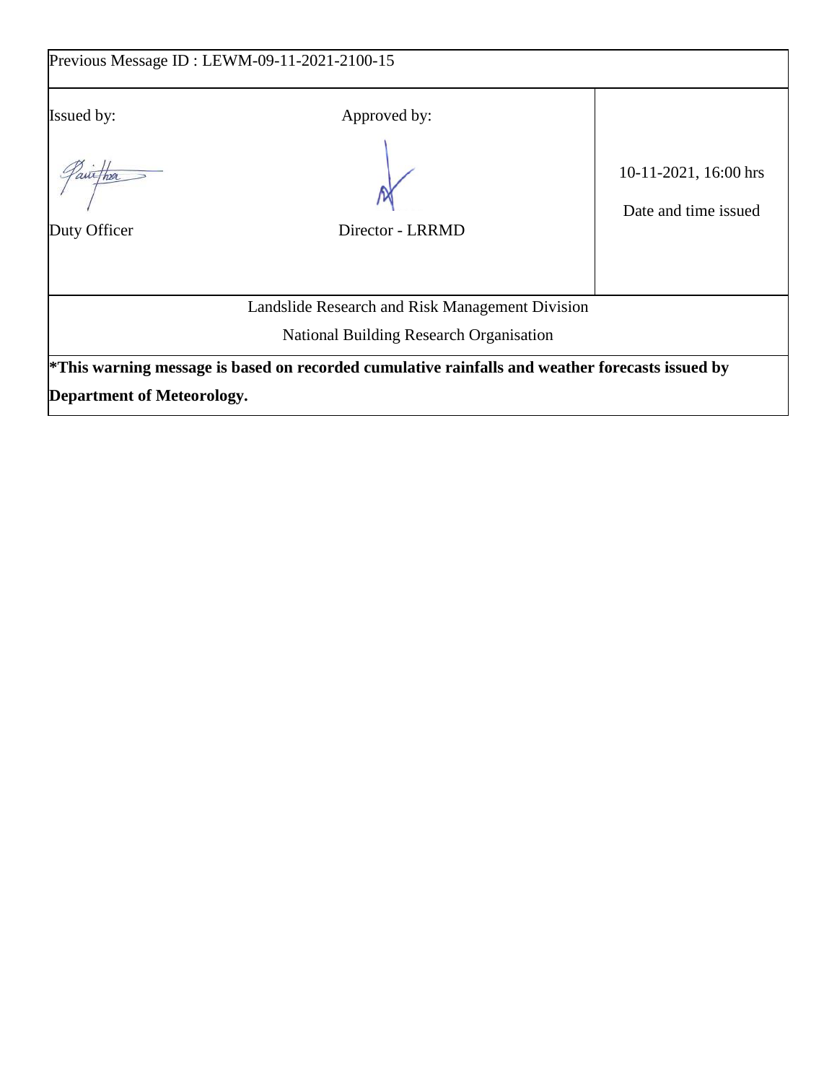| Previous Message ID : LEWM-09-11-2021-2100-15 |                                                                                                 |                                               |  |  |  |  |
|-----------------------------------------------|-------------------------------------------------------------------------------------------------|-----------------------------------------------|--|--|--|--|
| <b>Issued by:</b><br>aut Thra<br>Duty Officer | Approved by:<br>Director - LRRMD                                                                | 10-11-2021, 16:00 hrs<br>Date and time issued |  |  |  |  |
|                                               | Landslide Research and Risk Management Division                                                 |                                               |  |  |  |  |
| National Building Research Organisation       |                                                                                                 |                                               |  |  |  |  |
|                                               | *This warning message is based on recorded cumulative rainfalls and weather forecasts issued by |                                               |  |  |  |  |
| <b>Department of Meteorology.</b>             |                                                                                                 |                                               |  |  |  |  |